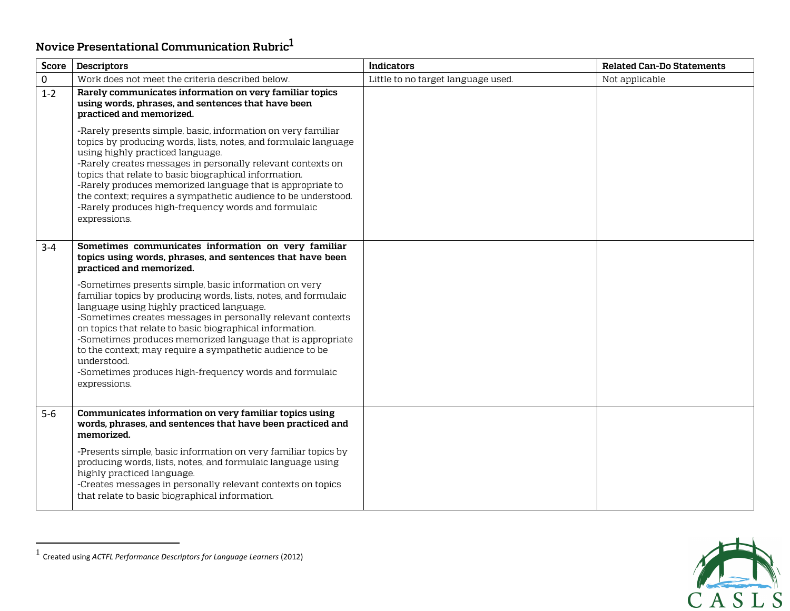## <span id="page-0-0"></span>**Novice Presentational Communicatio[n](#page-0-0) Rubric 1**

| <b>Score</b> | <b>Descriptors</b>                                                                                                                                                                                                                                                                                                                                                                                                                                                                                                                                                                                                                                                  | <b>Indicators</b>                  | <b>Related Can-Do Statements</b> |
|--------------|---------------------------------------------------------------------------------------------------------------------------------------------------------------------------------------------------------------------------------------------------------------------------------------------------------------------------------------------------------------------------------------------------------------------------------------------------------------------------------------------------------------------------------------------------------------------------------------------------------------------------------------------------------------------|------------------------------------|----------------------------------|
| $\mathbf 0$  | Work does not meet the criteria described below.                                                                                                                                                                                                                                                                                                                                                                                                                                                                                                                                                                                                                    | Little to no target language used. | Not applicable                   |
| $1 - 2$      | Rarely communicates information on very familiar topics<br>using words, phrases, and sentences that have been<br>practiced and memorized.                                                                                                                                                                                                                                                                                                                                                                                                                                                                                                                           |                                    |                                  |
|              | -Rarely presents simple, basic, information on very familiar<br>topics by producing words, lists, notes, and formulaic language<br>using highly practiced language.<br>-Rarely creates messages in personally relevant contexts on<br>topics that relate to basic biographical information.<br>-Rarely produces memorized language that is appropriate to<br>the context; requires a sympathetic audience to be understood.<br>-Rarely produces high-frequency words and formulaic<br>expressions.                                                                                                                                                                  |                                    |                                  |
| $3 - 4$      | Sometimes communicates information on very familiar<br>topics using words, phrases, and sentences that have been<br>practiced and memorized.<br>-Sometimes presents simple, basic information on very<br>familiar topics by producing words, lists, notes, and formulaic<br>language using highly practiced language.<br>-Sometimes creates messages in personally relevant contexts<br>on topics that relate to basic biographical information.<br>-Sometimes produces memorized language that is appropriate<br>to the context; may require a sympathetic audience to be<br>understood.<br>-Sometimes produces high-frequency words and formulaic<br>expressions. |                                    |                                  |
| $5-6$        | Communicates information on very familiar topics using<br>words, phrases, and sentences that have been practiced and<br>memorized.<br>-Presents simple, basic information on very familiar topics by<br>producing words, lists, notes, and formulaic language using<br>highly practiced language.<br>-Creates messages in personally relevant contexts on topics<br>that relate to basic biographical information.                                                                                                                                                                                                                                                  |                                    |                                  |



<sup>1</sup> Created using *ACTFL Performance Descriptors for Language Learners* (2012)